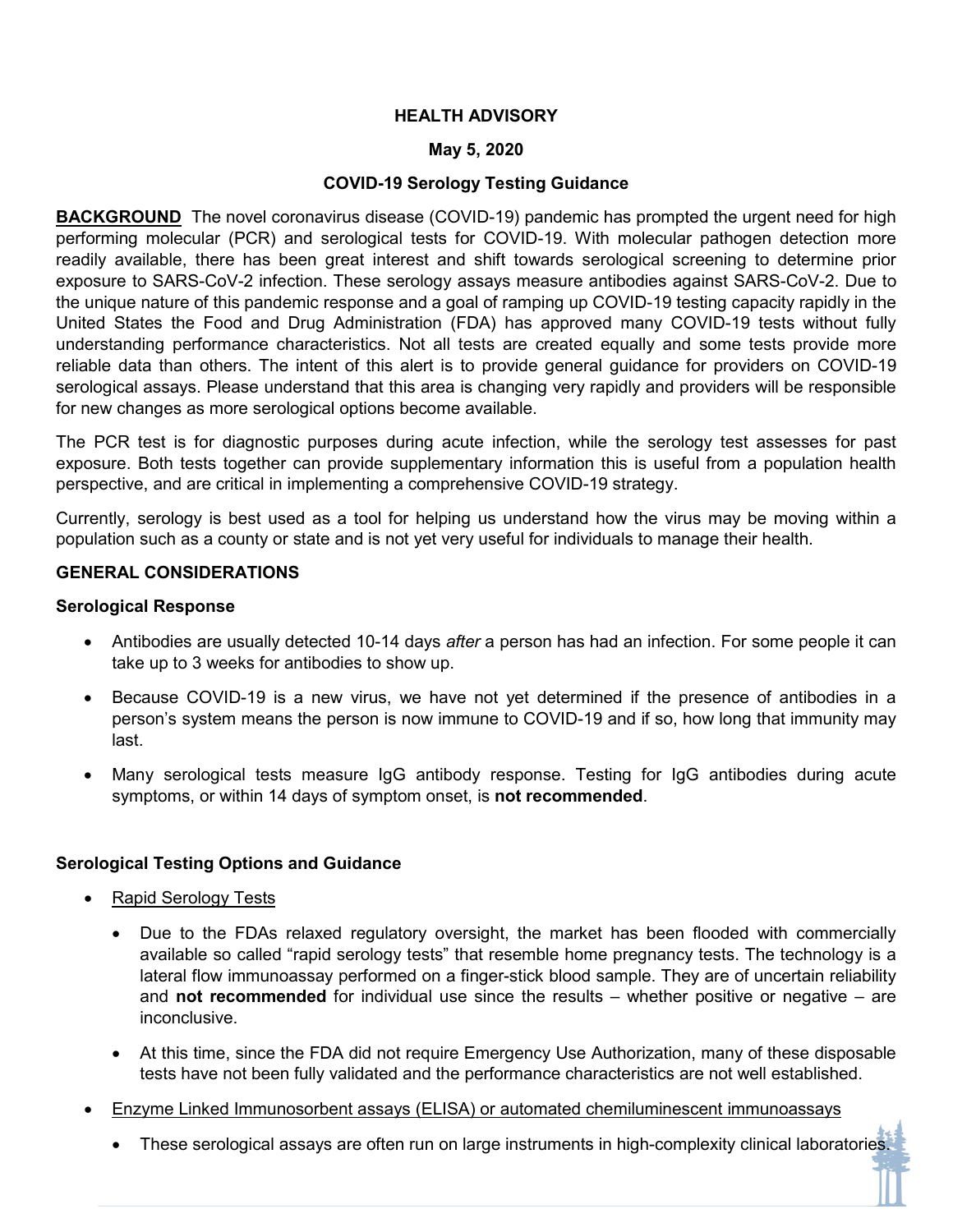## **HEALTH ADVISORY**

## **May 5, 2020**

# **COVID-19 Serology Testing Guidance**

**BACKGROUND** The novel coronavirus disease (COVID-19) pandemic has prompted the urgent need for high performing molecular (PCR) and serological tests for COVID-19. With molecular pathogen detection more readily available, there has been great interest and shift towards serological screening to determine prior exposure to SARS-CoV-2 infection. These serology assays measure antibodies against SARS-CoV-2. Due to the unique nature of this pandemic response and a goal of ramping up COVID-19 testing capacity rapidly in the United States the Food and Drug Administration (FDA) has approved many COVID-19 tests without fully understanding performance characteristics. Not all tests are created equally and some tests provide more reliable data than others. The intent of this alert is to provide general guidance for providers on COVID-19 serological assays. Please understand that this area is changing very rapidly and providers will be responsible for new changes as more serological options become available.

The PCR test is for diagnostic purposes during acute infection, while the serology test assesses for past exposure. Both tests together can provide supplementary information this is useful from a population health perspective, and are critical in implementing a comprehensive COVID-19 strategy.

Currently, serology is best used as a tool for helping us understand how the virus may be moving within a population such as a county or state and is not yet very useful for individuals to manage their health.

## **GENERAL CONSIDERATIONS**

#### **Serological Response**

- Antibodies are usually detected 10-14 days *after* a person has had an infection. For some people it can take up to 3 weeks for antibodies to show up.
- Because COVID-19 is a new virus, we have not yet determined if the presence of antibodies in a person's system means the person is now immune to COVID-19 and if so, how long that immunity may last.
- Many serological tests measure IgG antibody response. Testing for IgG antibodies during acute symptoms, or within 14 days of symptom onset, is **not recommended**.

## **Serological Testing Options and Guidance**

- Rapid Serology Tests
	- Due to the FDAs relaxed regulatory oversight, the market has been flooded with commercially available so called "rapid serology tests" that resemble home pregnancy tests. The technology is a lateral flow immunoassay performed on a finger-stick blood sample. They are of uncertain reliability and **not recommended** for individual use since the results – whether positive or negative – are inconclusive.
	- At this time, since the FDA did not require Emergency Use Authorization, many of these disposable tests have not been fully validated and the performance characteristics are not well established.
- Enzyme Linked Immunosorbent assays (ELISA) or automated chemiluminescent immunoassays
	- These serological assays are often run on large instruments in high-complexity clinical laboratories.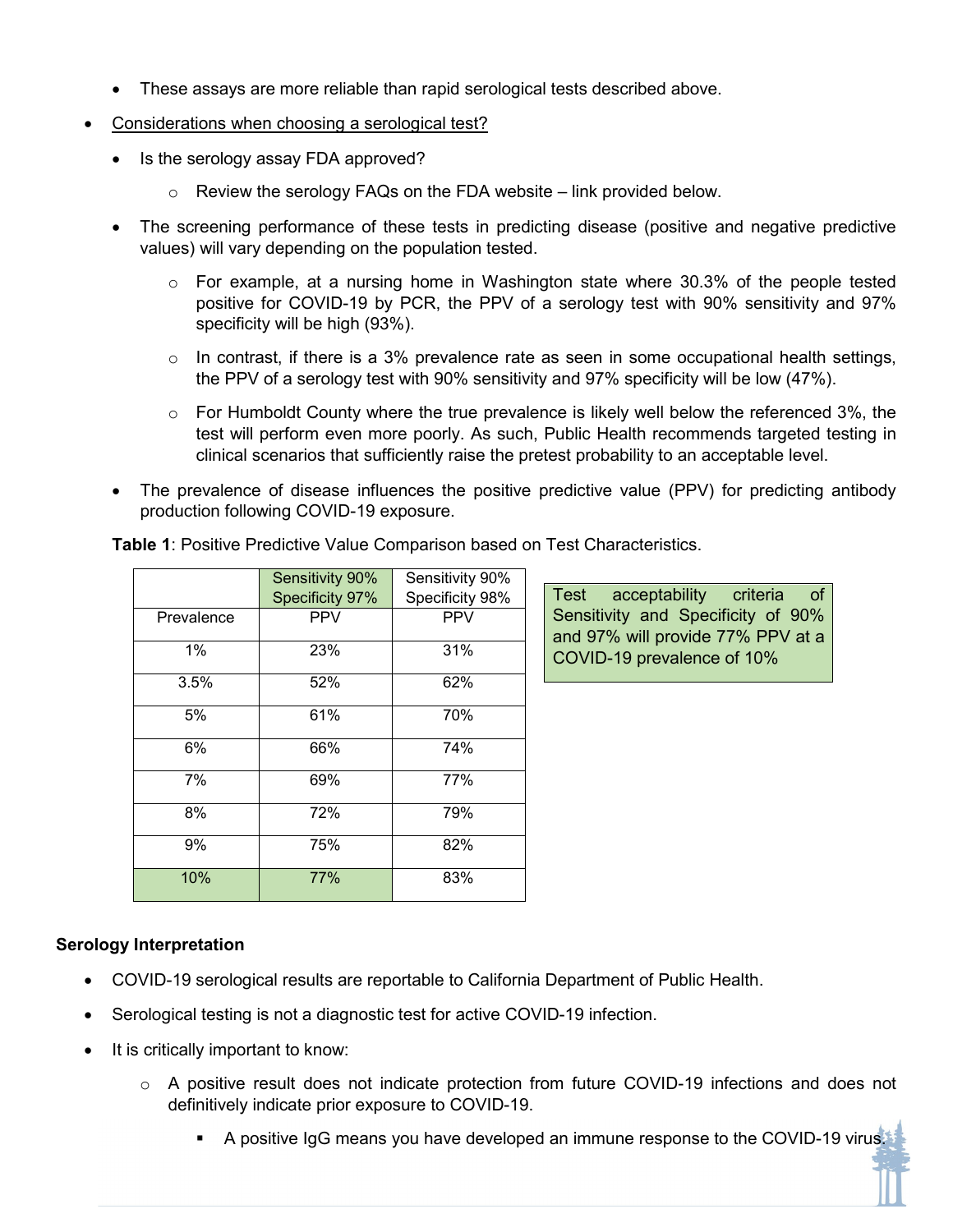- These assays are more reliable than rapid serological tests described above.
- Considerations when choosing a serological test?
	- Is the serology assay FDA approved?
		- $\circ$  Review the serology FAQs on the FDA website link provided below.
	- The screening performance of these tests in predicting disease (positive and negative predictive values) will vary depending on the population tested.
		- $\circ$  For example, at a nursing home in Washington state where 30.3% of the people tested positive for COVID-19 by PCR, the PPV of a serology test with 90% sensitivity and 97% specificity will be high (93%).
		- $\circ$  In contrast, if there is a 3% prevalence rate as seen in some occupational health settings, the PPV of a serology test with 90% sensitivity and 97% specificity will be low (47%).
		- $\circ$  For Humboldt County where the true prevalence is likely well below the referenced 3%, the test will perform even more poorly. As such, Public Health recommends targeted testing in clinical scenarios that sufficiently raise the pretest probability to an acceptable level.
	- The prevalence of disease influences the positive predictive value (PPV) for predicting antibody production following COVID-19 exposure.

|            | <b>Sensitivity 90%</b> | Sensitivity 90% |
|------------|------------------------|-----------------|
|            | Specificity 97%        | Specificity 98% |
| Prevalence | <b>PPV</b>             | <b>PPV</b>      |
| 1%         | 23%                    | 31%             |
| 3.5%       | 52%                    | 62%             |
| 5%         | 61%                    | 70%             |
| 6%         | 66%                    | 74%             |
| 7%         | 69%                    | 77%             |
| 8%         | 72%                    | 79%             |
| 9%         | 75%                    | 82%             |
| 10%        | 77%                    | 83%             |

**Table 1**: Positive Predictive Value Comparison based on Test Characteristics.

# Sensitivity and Specificity of 90% and 97% will provide 77% PPV at a COVID-19 prevalence of 10%

Test acceptability criteria of

## **Serology Interpretation**

- COVID-19 serological results are reportable to California Department of Public Health.
- Serological testing is not a diagnostic test for active COVID-19 infection.
- It is critically important to know:
	- $\circ$  A positive result does not indicate protection from future COVID-19 infections and does not definitively indicate prior exposure to COVID-19.
		- A positive IgG means you have developed an immune response to the COVID-19 virus.